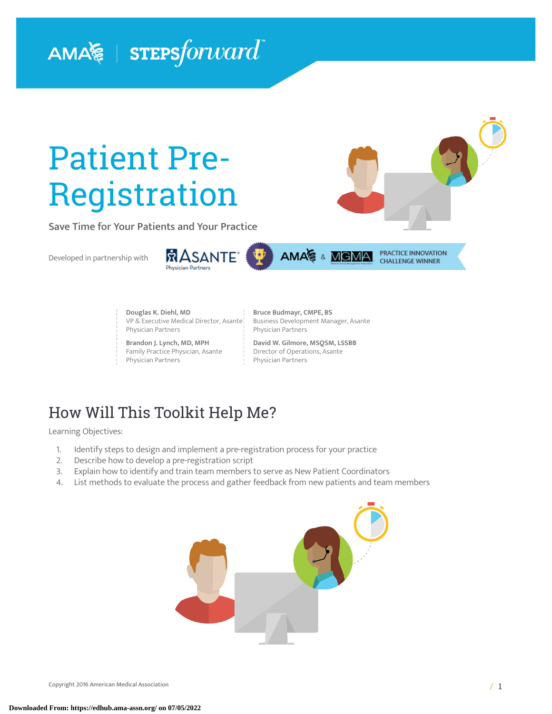# AMA $\lessapprox$  | STEPS forward

# Patient Pre-Registration

Save Time for Your Patients and Your Practice

Developed in partnership with



AMA & MGMA

**Douglas K. Diehl, MD** VP & Executive Medical Director, Asante Physician Partners

**Brandon J. Lynch, MD, MPH** Family Practice Physician, Asante Physician Partners

**Bruce Budmayr, CMPE, BS** Business Development Manager, Asante Physician Partners

PRACTICE INNOVATION **CHALLENGE WINNER** 

**David W. Gilmore, MSQSM, LSSBB** Director of Operations, Asante Physician Partners

# How Will This Toolkit Help Me?

Learning Objectives:

- 1. Identify steps to design and implement a pre-registration process for your practice<br>2. Describe how to develop a pre-registration script
- Describe how to develop a pre-registration script
- 3. Explain how to identify and train team members to serve as New Patient Coordinators
- 4. List methods to evaluate the process and gather feedback from new patients and team members

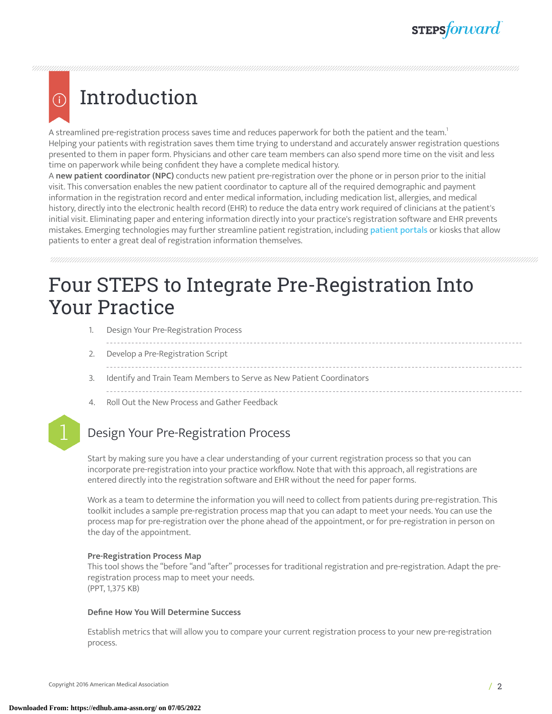### Introduction (i)

A streamlined pre-registration process saves time and reduces paperwork for both the patient and the team. $^{\rm !}$ Helping your patients with registration saves them time trying to understand and accurately answer registration questions presented to them in paper form. Physicians and other care team members can also spend more time on the visit and less time on paperwork while being confident they have a complete medical history.

A **new patient coordinator (NPC)** conducts new patient pre-registration over the phone or in person prior to the initial visit. This conversation enables the new patient coordinator to capture all of the required demographic and payment information in the registration record and enter medical information, including medication list, allergies, and medical history, directly into the electronic health record (EHR) to reduce the data entry work required of clinicians at the patient's initial visit. Eliminating paper and entering information directly into your practice's registration software and EHR prevents mistakes. Emerging technologies may further streamline [patient](https://edhub.ama-assn.org/steps-forward/module/2767762) registration, including patient portals or kiosks that allow patients to enter a great deal of registration information themselves.

# Four STEPS to Integrate Pre-Registration Into Your Practice

- 1. Design Your Pre-Registration Process
	-
- 2. Develop a Pre-Registration Script
- 
- 3. Identify and Train Team Members to Serve as New Patient Coordinators
- 4. Roll Out the New Process and Gather Feedback



### 1 Design Your Pre-Registration Process

Start by making sure you have a clear understanding of your current registration process so that you can incorporate pre-registration into your practice workflow. Note that with this approach, all registrations are entered directly into the registration software and EHR without the need for paper forms.

Work as a team to determine the information you will need to collect from patients during pre-registration. This toolkit includes a sample pre-registration process map that you can adapt to meet your needs. You can use the process map for pre-registration over the phone ahead of the appointment, or for pre-registration in person on the day of the appointment.

#### **Pre-Registration Process Map**

This tool shows the "before "and "after" processes for traditional registration and pre-registration. Adapt the preregistration process map to meet your needs. (PPT, 1,375 KB)

#### **Define How You Will Determine Success**

Establish metrics that will allow you to compare your current registration process to your new pre-registration process.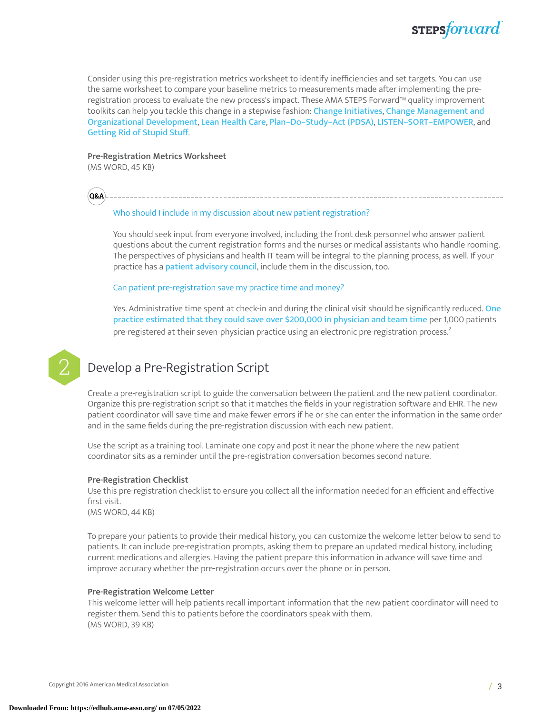

Consider using this pre-registration metrics worksheet to identify inefficiencies and set targets. You can use the same worksheet to compare your baseline metrics to measurements made after implementing the preregistration process to evaluate the new process's impact. These AMA STEPS Forward™ quality improvement toolkits can help you tackle this change in a stepwise fashion: Change [Initiatives](https://edhub.ama-assn.org/steps-forward/module/2702749), Change [Management](https://edhub.ama-assn.org/steps-forward/module/2702744) and [Organizational](https://edhub.ama-assn.org/steps-forward/module/2702744) Development, Lean [Health](https://edhub.ama-assn.org/steps-forward/module/2702597) Care, [Plan–Do–Study–Act](https://edhub.ama-assn.org/steps-forward/module/2702507) (PDSA), [LISTEN–SORT–EMPOWER](https://edhub.ama-assn.org/steps-forward/module/2767765), and [Getting](https://edhub.ama-assn.org/steps-forward/module/2757858) Rid of Stupid Stuff.

#### **Pre-Registration Metrics Worksheet**

(MS WORD, 45 KB)

**Q&A**

#### Who should I include in my discussion about new patient registration?

You should seek input from everyone involved, including the front desk personnel who answer patient questions about the current registration forms and the nurses or medical assistants who handle rooming. The perspectives of physicians and health IT team will be integral to the planning process, as well. If your practice has a **patient [advisory](https://edhub.ama-assn.org/steps-forward/module/2702594) council**, include them in the discussion, too.

Can patient pre-registration save my practice time and money?

Yes. Administrative time spent at check-in and during the clinical visit should be significantly reduced. [One](https://edhub.ama-assn.org/steps-forward/module/2702563) practice [estimated](https://edhub.ama-assn.org/steps-forward/module/2702563) that they could save over \$200,000 in physician and team time per 1,000 patients pre-registered at their seven-physician practice using an electronic pre-registration process. [2](#page-7-1)



### Develop a Pre-Registration Script

Create a pre-registration script to guide the conversation between the patient and the new patient coordinator. Organize this pre-registration script so that it matches the fields in your registration software and EHR. The new patient coordinator will save time and make fewer errors if he or she can enter the information in the same order and in the same fields during the pre-registration discussion with each new patient.

Use the script as a training tool. Laminate one copy and post it near the phone where the new patient coordinator sits as a reminder until the pre-registration conversation becomes second nature.

#### **Pre-Registration Checklist**

Use this pre-registration checklist to ensure you collect all the information needed for an efficient and effective first visit.

(MS WORD, 44 KB)

To prepare your patients to provide their medical history, you can customize the welcome letter below to send to patients. It can include pre-registration prompts, asking them to prepare an updated medical history, including current medications and allergies. Having the patient prepare this information in advance will save time and improve accuracy whether the pre-registration occurs over the phone or in person.

#### **Pre-Registration Welcome Letter**

This welcome letter will help patients recall important information that the new patient coordinator will need to register them. Send this to patients before the coordinators speak with them. (MS WORD, 39 KB)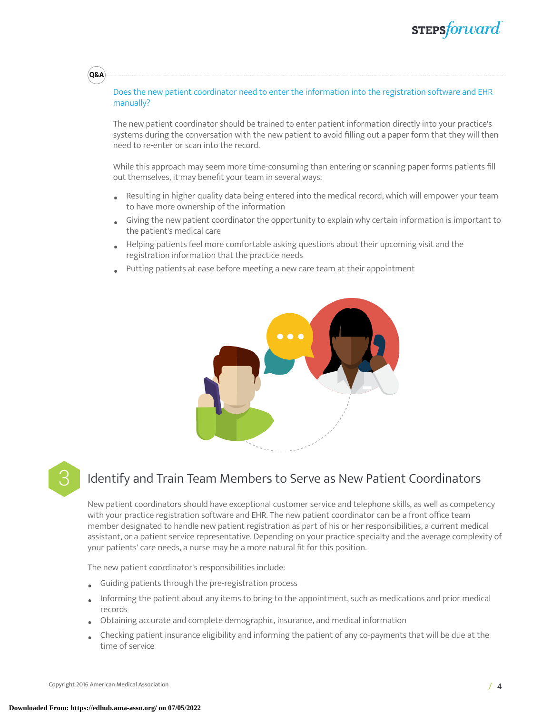# **STEPS**forward

#### Does the new patient coordinator need to enter the information into the registration software and EHR manually?

The new patient coordinator should be trained to enter patient information directly into your practice's systems during the conversation with the new patient to avoid filling out a paper form that they will then need to re-enter or scan into the record.

While this approach may seem more time-consuming than entering or scanning paper forms patients fill out themselves, it may benefit your team in several ways:

- Resulting in higher quality data being entered into the medical record, which will empower your team to have more ownership of the information
- Giving the new patient coordinator the opportunity to explain why certain information is important to the patient's medical care
- Helping patients feel more comfortable asking questions about their upcoming visit and the registration information that the practice needs
- Putting patients at ease before meeting a new care team at their appointment





**Q&A**

### Identify and Train Team Members to Serve as New Patient Coordinators

New patient coordinators should have exceptional customer service and telephone skills, as well as competency with your practice registration software and EHR. The new patient coordinator can be a front office team member designated to handle new patient registration as part of his or her responsibilities, a current medical assistant, or a patient service representative. Depending on your practice specialty and the average complexity of your patients' care needs, a nurse may be a more natural fit for this position.

The new patient coordinator's responsibilities include:

- Guiding patients through the pre-registration process
- Informing the patient about any items to bring to the appointment, such as medications and prior medical records
- Obtaining accurate and complete demographic, insurance, and medical information
- Checking patient insurance eligibility and informing the patient of any co-payments that will be due at the time of service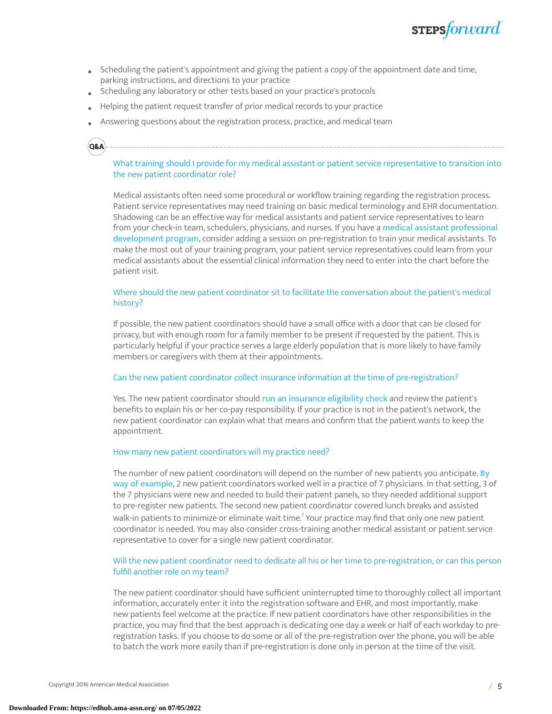

- Scheduling the patient's appointment and giving the patient a copy of the appointment date and time, parking instructions, and directions to your practice
- Scheduling any laboratory or other tests based on your practice's protocols
- Helping the patient request transfer of prior medical records to your practice
- Answering questions about the registration process, practice, and medical team

### **Q&A**

#### What training should I provide for my medical assistant or patient service representative to transition into the new patient coordinator role?

Medical assistants often need some procedural or workflow training regarding the registration process. Patient service representatives may need training on basic medical terminology and EHR documentation. Shadowing can be an effective way for medical assistants and patient service representatives to learn from your check-in team, schedulers, physicians, and nurses. If you have a medical assistant [professional](https://edhub.ama-assn.org/steps-forward/module/2702558) [development](https://edhub.ama-assn.org/steps-forward/module/2702558) program, consider adding a session on pre-registration to train your medical assistants. To make the most out of your training program, your patient service representatives could learn from your medical assistants about the essential clinical information they need to enter into the chart before the patient visit.

#### Where should the new patient coordinator sit to facilitate the conversation about the patient's medical history?

If possible, the new patient coordinators should have a small office with a door that can be closed for privacy, but with enough room for a family member to be present if requested by the patient. This is particularly helpful if your practice serves a large elderly population that is more likely to have family members or caregivers with them at their appointments.

#### Can the new patient coordinator collect insurance information at the time of pre-registration?

Yes. The new patient coordinator should run an [insurance](https://edhub.ama-assn.org/steps-forward/module/2702603) eligibility check and review the patient's benefits to explain his or her co-pay responsibility. If your practice is not in the patient's network, the new patient coordinator can explain what that means and confirm that the patient wants to keep the appointment.

#### How many new patient coordinators will my practice need?

The number of new patient coordinators will depend on the number of new patients you anticipate. [By](https://edhub.ama-assn.org/steps-forward/module/2702563) way of [example](https://edhub.ama-assn.org/steps-forward/module/2702563), 2 new patient coordinators worked well in a practice of 7 physicians. In that setting, 3 of the 7 physicians were new and needed to build their patient panels, so they needed additional support to pre-register new patients. The second new patient coordinator covered lunch breaks and assisted walk-in patients to minimize or eliminate wait time.<sup>[1](#page-7-0)</sup> Your practice may find that only one new patient coordinator is needed. You may also consider cross-training another medical assistant or patient service representative to cover for a single new patient coordinator.

#### Will the new patient coordinator need to dedicate all his or her time to pre-registration, or can this person fulfill another role on my team?

The new patient coordinator should have sufficient uninterrupted time to thoroughly collect all important information, accurately enter it into the registration software and EHR, and most importantly, make new patients feel welcome at the practice. If new patient coordinators have other responsibilities in the practice, you may find that the best approach is dedicating one day a week or half of each workday to preregistration tasks. If you choose to do some or all of the pre-registration over the phone, you will be able to batch the work more easily than if pre-registration is done only in person at the time of the visit.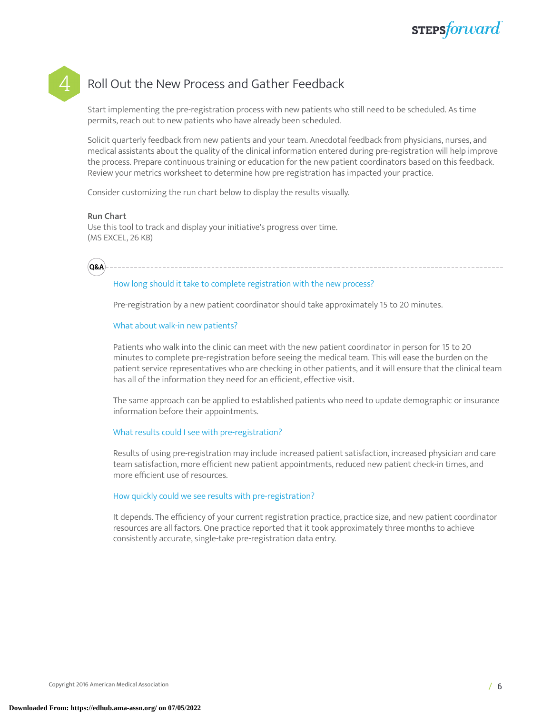### Roll Out the New Process and Gather Feedback

Start implementing the pre-registration process with new patients who still need to be scheduled. As time permits, reach out to new patients who have already been scheduled.

Solicit quarterly feedback from new patients and your team. Anecdotal feedback from physicians, nurses, and medical assistants about the quality of the clinical information entered during pre-registration will help improve the process. Prepare continuous training or education for the new patient coordinators based on this feedback. Review your metrics worksheet to determine how pre-registration has impacted your practice.

Consider customizing the run chart below to display the results visually.

#### **Run Chart**

Use this tool to track and display your initiative's progress over time. (MS EXCEL, 26 KB)



#### How long should it take to complete registration with the new process?

Pre-registration by a new patient coordinator should take approximately 15 to 20 minutes.

#### What about walk-in new patients?

Patients who walk into the clinic can meet with the new patient coordinator in person for 15 to 20 minutes to complete pre-registration before seeing the medical team. This will ease the burden on the patient service representatives who are checking in other patients, and it will ensure that the clinical team has all of the information they need for an efficient, effective visit.

The same approach can be applied to established patients who need to update demographic or insurance information before their appointments.

#### What results could I see with pre-registration?

Results of using pre-registration may include increased patient satisfaction, increased physician and care team satisfaction, more efficient new patient appointments, reduced new patient check-in times, and more efficient use of resources.

#### How quickly could we see results with pre-registration?

It depends. The efficiency of your current registration practice, practice size, and new patient coordinator resources are all factors. One practice reported that it took approximately three months to achieve consistently accurate, single-take pre-registration data entry.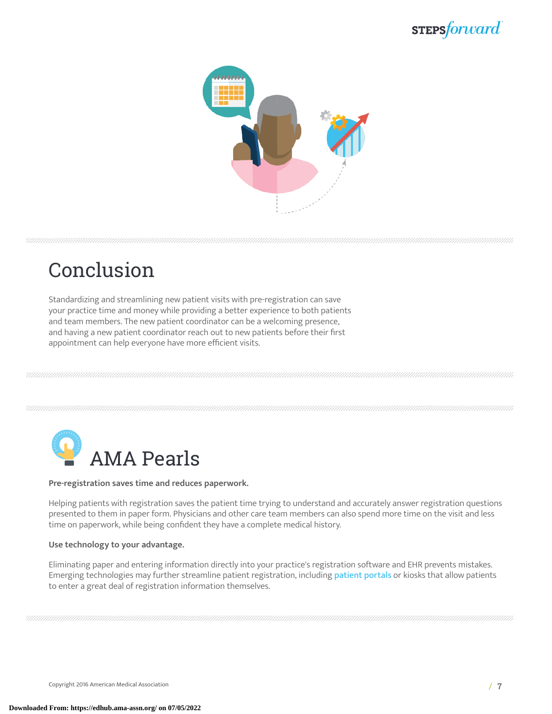# **STEPSforward**



# Conclusion

Standardizing and streamlining new patient visits with pre-registration can save your practice time and money while providing a better experience to both patients and team members. The new patient coordinator can be a welcoming presence, and having a new patient coordinator reach out to new patients before their first appointment can help everyone have more efficient visits.



#### **Pre-registration saves time and reduces paperwork.**

Helping patients with registration saves the patient time trying to understand and accurately answer registration questions presented to them in paper form. Physicians and other care team members can also spend more time on the visit and less time on paperwork, while being confident they have a complete medical history.

#### **Use technology to your advantage.**

Eliminating paper and entering information directly into your practice's registration software and EHR prevents mistakes. Emerging technologies may further streamline [patient](https://edhub.ama-assn.org/steps-forward/module/2767762) registration, including patient portals or kiosks that allow patients to enter a great deal of registration information themselves.